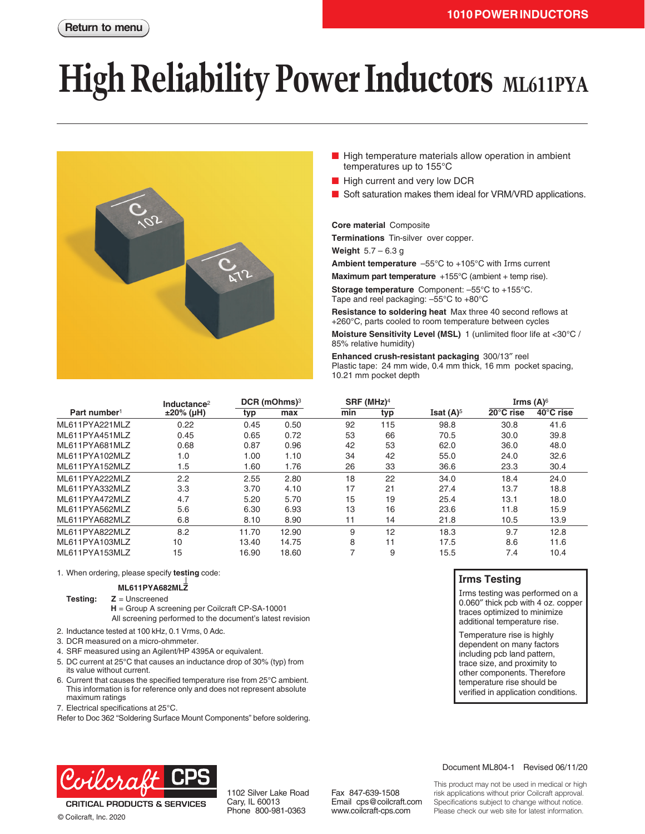# **High Reliability Power Inductors** ML611PYA



- High temperature materials allow operation in ambient temperatures up to 155°C
- High current and very low DCR
- Soft saturation makes them ideal for VRM/VRD applications.

**Core material** Composite

**Terminations** Tin-silver over copper.

**Weight** 5.7 – 6.3 g

**Ambient temperature** –55°C to +105°C with Irms current

**Maximum part temperature** +155°C (ambient + temp rise).

**Storage temperature** Component: –55°C to +155°C. Tape and reel packaging: –55°C to +80°C

**Resistance to soldering heat** Max three 40 second reflows at +260°C, parts cooled to room temperature between cycles

**Moisture Sensitivity Level (MSL)** 1 (unlimited floor life at <30°C / 85% relative humidity)

**Enhanced crush-resistant packaging** 300/13″ reel Plastic tape: 24 mm wide, 0.4 mm thick, 16 mm pocket spacing, 10.21 mm pocket depth

|                          | Inductance $2$ | DCR (mOhms) <sup>3</sup> |       | $SRF$ (MHz) <sup>4</sup> |     |                         | Irms $(A)$ <sup>6</sup> |           |
|--------------------------|----------------|--------------------------|-------|--------------------------|-----|-------------------------|-------------------------|-----------|
| Part number <sup>1</sup> | $±20\%$ (µH)   | typ                      | max   | min                      | typ | Isat $(A)$ <sup>5</sup> | 20°C rise               | 40°C rise |
| ML611PYA221MLZ           | 0.22           | 0.45                     | 0.50  | 92                       | 115 | 98.8                    | 30.8                    | 41.6      |
| ML611PYA451MLZ           | 0.45           | 0.65                     | 0.72  | 53                       | 66  | 70.5                    | 30.0                    | 39.8      |
| ML611PYA681MLZ           | 0.68           | 0.87                     | 0.96  | 42                       | 53  | 62.0                    | 36.0                    | 48.0      |
| ML611PYA102MLZ           | 1.0            | 1.00                     | 1.10  | 34                       | 42  | 55.0                    | 24.0                    | 32.6      |
| ML611PYA152MLZ           | 1.5            | 1.60                     | 1.76  | 26                       | 33  | 36.6                    | 23.3                    | 30.4      |
| MI 611PYA222MI Z         | 2.2            | 2.55                     | 2.80  | 18                       | 22  | 34.0                    | 18.4                    | 24.0      |
| ML611PYA332MLZ           | 3.3            | 3.70                     | 4.10  | 17                       | 21  | 27.4                    | 13.7                    | 18.8      |
| ML611PYA472MLZ           | 4.7            | 5.20                     | 5.70  | 15                       | 19  | 25.4                    | 13.1                    | 18.0      |
| ML611PYA562MLZ           | 5.6            | 6.30                     | 6.93  | 13                       | 16  | 23.6                    | 11.8                    | 15.9      |
| ML611PYA682MLZ           | 6.8            | 8.10                     | 8.90  | 11                       | 14  | 21.8                    | 10.5                    | 13.9      |
| ML611PYA822MLZ           | 8.2            | 11.70                    | 12.90 | 9                        | 12  | 18.3                    | 9.7                     | 12.8      |
| ML611PYA103MLZ           | 10             | 13.40                    | 14.75 | 8                        | 11  | 17.5                    | 8.6                     | 11.6      |
| ML611PYA153MLZ           | 15             | 16.90                    | 18.60 | ⇁                        | 9   | 15.5                    | 7.4                     | 10.4      |

1. When ordering, please specify **testing** code:

### **ML611PYA682MLZ**

### **Testing: Z** = Unscreened

**H** = Group A screening per Coilcraft CP-SA-10001 All screening performed to the document's latest revision

- 2. Inductance tested at 100 kHz, 0.1 Vrms, 0 Adc.
- 3. DCR measured on a micro-ohmmeter.
- 4. SRF measured using an Agilent/HP 4395A or equivalent.
- 5. DC current at 25°C that causes an inductance drop of 30% (typ) from its value without current.
- 6. Current that causes the specified temperature rise from 25°C ambient. This information is for reference only and does not represent absolute maximum ratings
- 7. Electrical specifications at 25°C.

Refer to Doc 362 "Soldering Surface Mount Components" before soldering.

### **Irms Testing**

Irms testing was performed on a 0.060″ thick pcb with 4 oz. copper traces optimized to minimize additional temperature rise.

Temperature rise is highly dependent on many factors including pcb land pattern, trace size, and proximity to other components. Therefore temperature rise should be verified in application conditions.



**CRITICAL PRODUCTS & SERVICES** © Coilcraft, Inc. 2020

1102 Silver Lake Road Cary, IL 60013 Phone 800-981-0363

Fax 847-639-1508 Email cps@coilcraft.com www.coilcraft-cps.com

Document ML804-1 Revised 06/11/20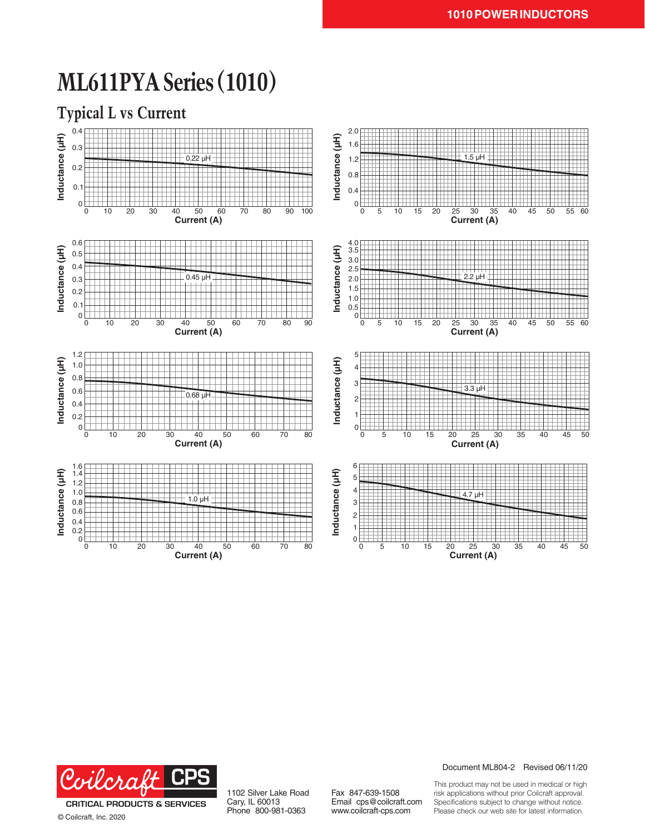## **ML611PYA Series (1010)**

**Typical L vs Current**





© Coilcraft, Inc. 2020

1102 Silver Lake Road Cary, IL 60013 Phone 800-981-0363

Fax 847-639-1508 Email cps@coilcraft.com www.coilcraft-cps.com

Document ML804-2 Revised 06/11/20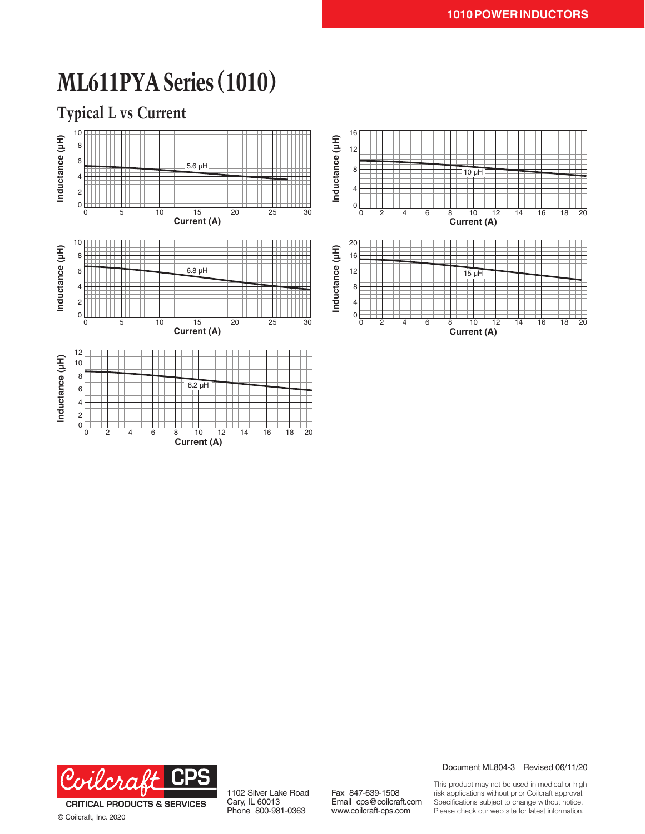### **ML611PYA Series (1010)**

**Typical L vs Current**





© Coilcraft, Inc. 2020

1102 Silver Lake Road Cary, IL 60013 Phone 800-981-0363

Fax 847-639-1508 Email cps@coilcraft.com www.coilcraft-cps.com

Document ML804-3 Revised 06/11/20